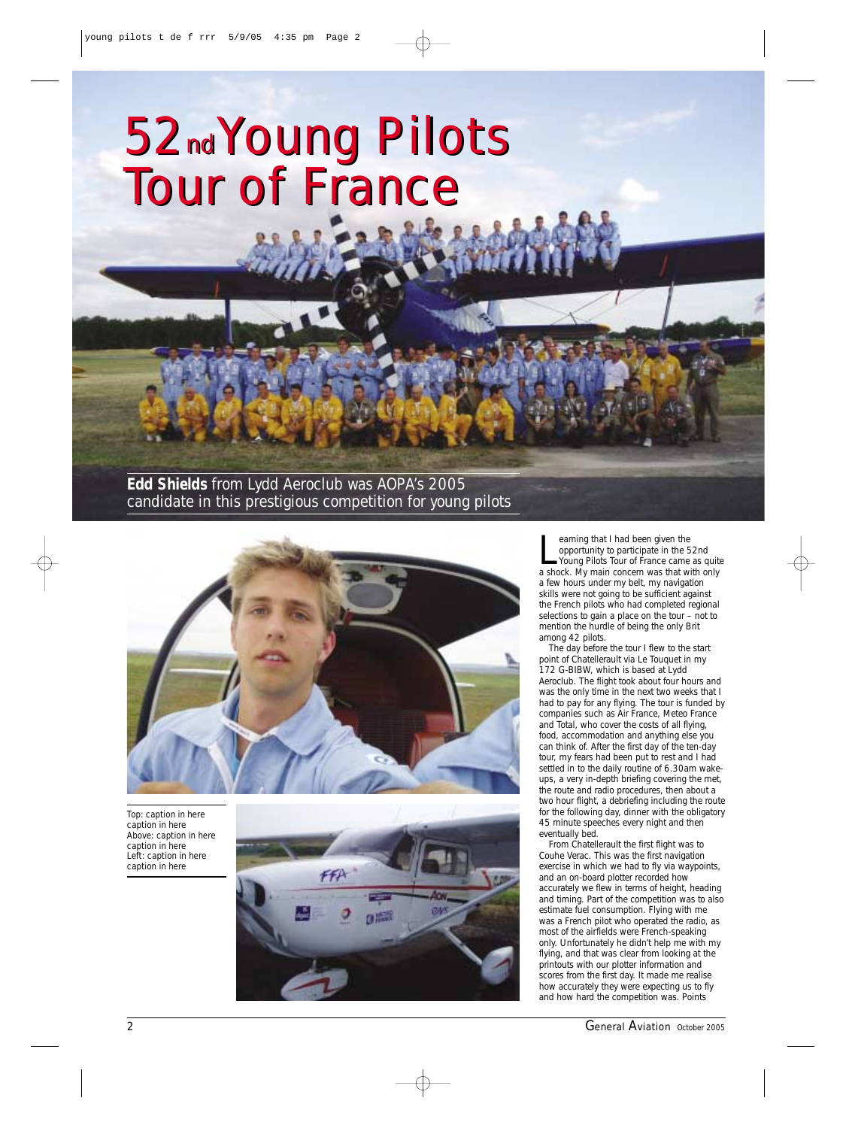## *52ndYoung Pilots Tour of France 52ndYoung Pilots Tour of France*

*Edd Shields from Lydd Aeroclub was AOPA's 2005 candidate in this prestigious competition for young pilots*



*Top: caption in here caption in here Above: caption in here caption in here Left: caption in here caption in here*



earning that I had been given the<br>opportunity to participate in the 52nd<br>Young Pilots Tour of France came as quit<br>a shock. My main concern was that with only earning that I had been given the opportunity to participate in the 52nd Young Pilots Tour of France came as quite a few hours under my belt, my navigation skills were not going to be sufficient against the French pilots who had completed regional selections to gain a place on the tour – not to mention the hurdle of being the only Brit among 42 pilots.

The day before the tour I flew to the start point of Chatellerault via Le Touquet in my 172 G-BIBW, which is based at Lydd Aeroclub. The flight took about four hours and was the only time in the next two weeks that I had to pay for any flying. The tour is funded by companies such as Air France, Meteo France and Total, who cover the costs of all flying, food, accommodation and anything else you can think of. After the first day of the ten-day tour, my fears had been put to rest and I had settled in to the daily routine of 6.30am wakeups, a very in-depth briefing covering the met, the route and radio procedures, then about a two hour flight, a debriefing including the route for the following day, dinner with the obligatory 45 minute speeches every night and then eventually bed.

From Chatellerault the first flight was to Couhe Verac. This was the first navigation exercise in which we had to fly via waypoints, and an on-board plotter recorded how accurately we flew in terms of height, heading and timing. Part of the competition was to also estimate fuel consumption. Flying with me was a French pilot who operated the radio, as most of the airfields were French-speaking only. Unfortunately he didn't help me with my flying, and that was clear from looking at the printouts with our plotter information and scores from the first day. It made me realise how accurately they were expecting us to fly and how hard the competition was. Points

2 *General Aviation October 2005*